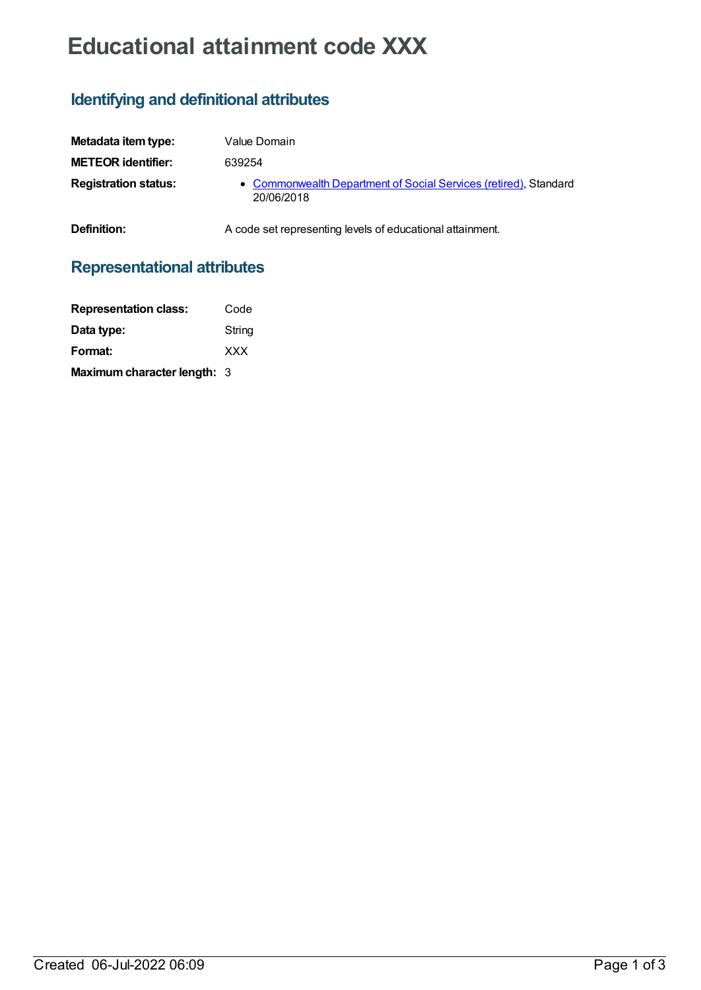# **Educational attainment code XXX**

# **Identifying and definitional attributes**

| Metadata item type:         | Value Domain                                                                   |
|-----------------------------|--------------------------------------------------------------------------------|
| <b>METEOR identifier:</b>   | 639254                                                                         |
| <b>Registration status:</b> | • Commonwealth Department of Social Services (retired), Standard<br>20/06/2018 |
| Definition:                 | A code set representing levels of educational attainment.                      |

## **Representational attributes**

| <b>Representation class:</b>       | Code       |
|------------------------------------|------------|
| Data type:                         | String     |
| Format:                            | <b>XXX</b> |
| <b>Maximum character length: 3</b> |            |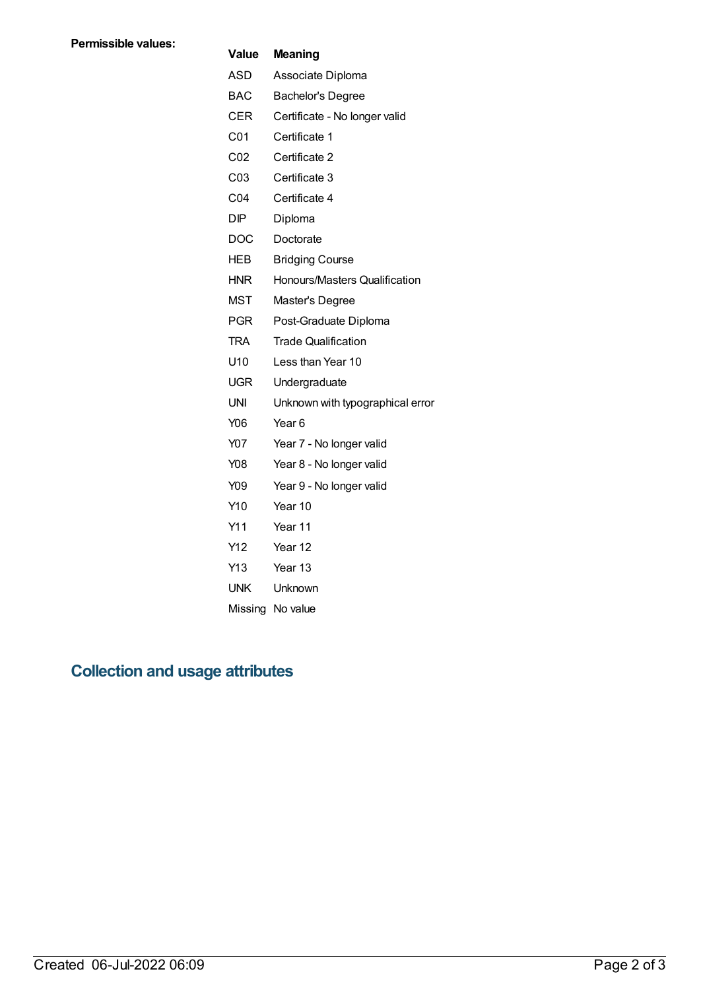#### **Value Meaning**

| ASD        | Associate Diploma |
|------------|-------------------|
| <b>BAC</b> | Bachelor's Degree |

- CER Certificate No longer valid
- C01 Certificate 1
- C02 Certificate 2
- C03 Certificate 3
- C04 Certificate 4
- DIP Diploma
- DOC Doctorate
- HEB Bridging Course
- HNR Honours/Masters Qualification
- MST Master's Degree
- PGR Post-Graduate Diploma
- TRA Trade Qualification
- U10 Less than Year 10
- UGR Undergraduate
- UNI Unknown with typographical error
- Y06 Year 6
- Y07 Year 7 No longer valid
- Y08 Year 8 No longer valid
- Y09 Year 9 No longer valid
- Y10 Year 10
- Y11 Year 11
- Y12 Year 12
- Y13 Year 13
- UNK Unknown
- Missing No value

## **Collection and usage attributes**